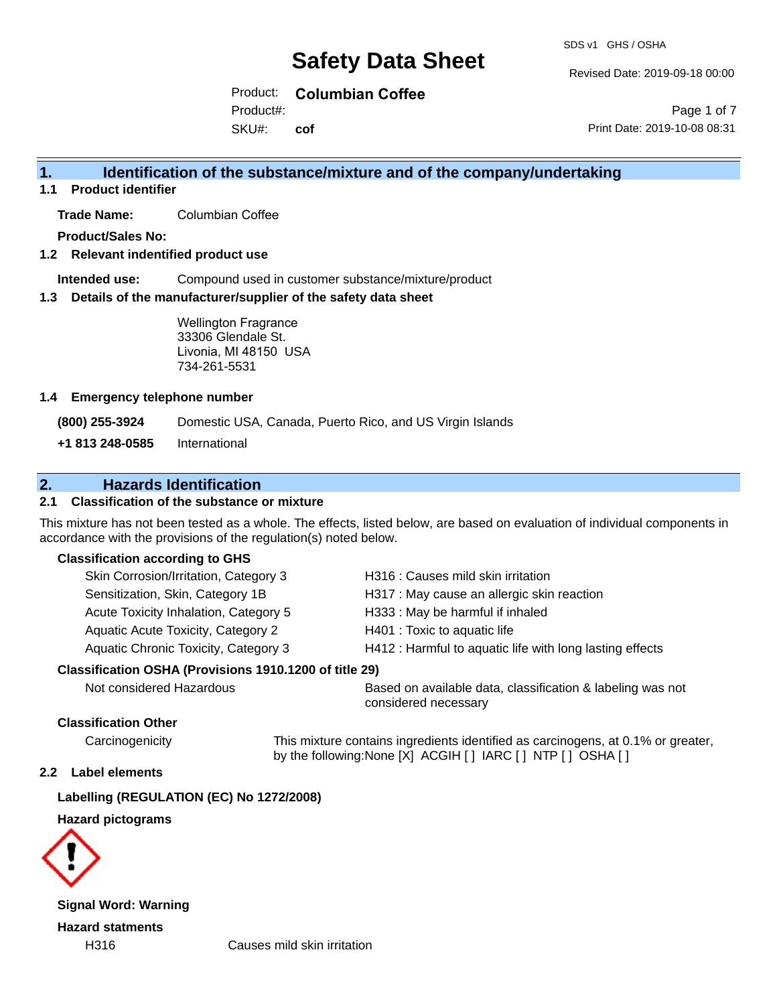Revised Date: 2019-09-18 00:00

Product: **Columbian Coffee** Product#:

SKU#: **cof**

Page 1 of 7 Print Date: 2019-10-08 08:31

### **1. Identification of the substance/mixture and of the company/undertaking**

**1.1 Product identifier**

**Trade Name:** Columbian Coffee

**Product/Sales No:**

#### **1.2 Relevant indentified product use**

**Intended use:** Compound used in customer substance/mixture/product

#### **1.3 Details of the manufacturer/supplier of the safety data sheet**

Wellington Fragrance 33306 Glendale St. Livonia, MI 48150 USA 734-261-5531

#### **1.4 Emergency telephone number**

**(800) 255-3924** Domestic USA, Canada, Puerto Rico, and US Virgin Islands

**+1 813 248-0585** International

### **2. Hazards Identification**

#### **2.1 Classification of the substance or mixture**

This mixture has not been tested as a whole. The effects, listed below, are based on evaluation of individual components in accordance with the provisions of the regulation(s) noted below.

#### **Classification according to GHS**

| Skin Corrosion/Irritation, Category 3                  | H316 : Causes mild skin irritation                       |  |
|--------------------------------------------------------|----------------------------------------------------------|--|
| Sensitization, Skin, Category 1B                       | H317 : May cause an allergic skin reaction               |  |
| Acute Toxicity Inhalation, Category 5                  | H333: May be harmful if inhaled                          |  |
| Aquatic Acute Toxicity, Category 2                     | H401 : Toxic to aquatic life                             |  |
| Aquatic Chronic Toxicity, Category 3                   | H412 : Harmful to aquatic life with long lasting effects |  |
| Classification OSHA (Provisions 1910.1200 of title 29) |                                                          |  |

Not considered Hazardous Based on available data, classification & labeling was not considered necessary

#### **Classification Other**

Carcinogenicity This mixture contains ingredients identified as carcinogens, at 0.1% or greater, by the following:None [X] ACGIH [ ] IARC [ ] NTP [ ] OSHA [ ]

#### **2.2 Label elements**

#### **Labelling (REGULATION (EC) No 1272/2008)**

#### **Hazard pictograms**



**Signal Word: Warning Hazard statments**

H316 Causes mild skin irritation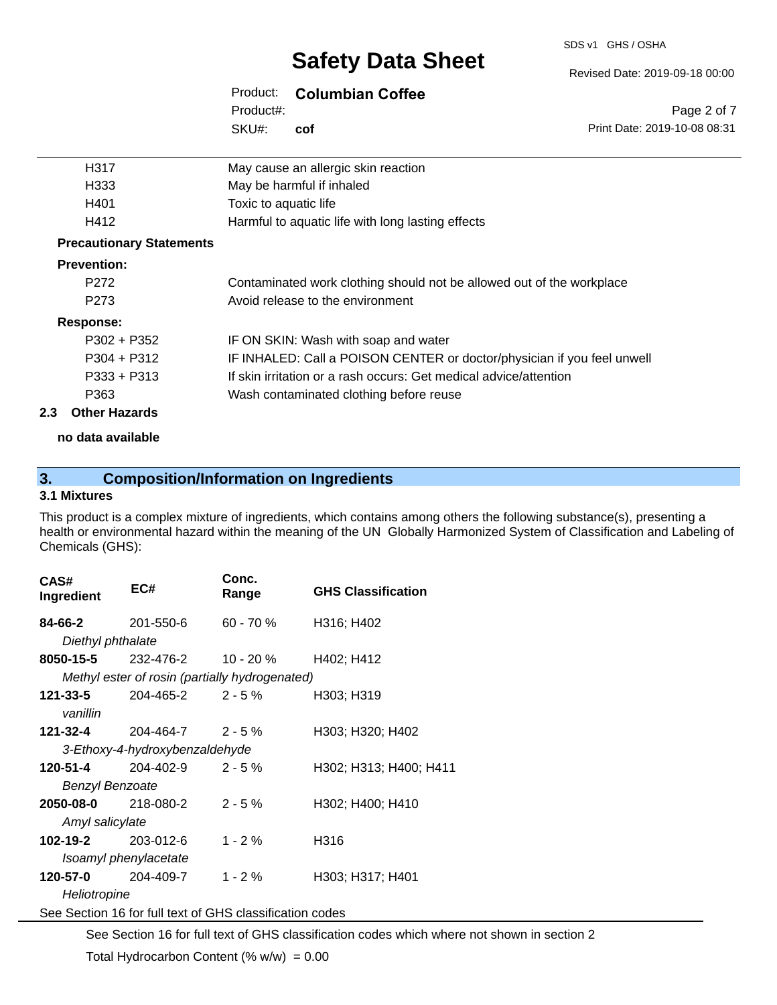#### SDS v1 GHS / OSHA

# **Safety Data Sheet**

#### Product: **Columbian Coffee**

SKU#: Product#: **cof**

| H317                            | May cause an allergic skin reaction                                     |
|---------------------------------|-------------------------------------------------------------------------|
| H333                            | May be harmful if inhaled                                               |
| H401                            | Toxic to aquatic life                                                   |
| H412                            | Harmful to aquatic life with long lasting effects                       |
| <b>Precautionary Statements</b> |                                                                         |
| <b>Prevention:</b>              |                                                                         |
| P <sub>272</sub>                | Contaminated work clothing should not be allowed out of the workplace   |
| P <sub>273</sub>                | Avoid release to the environment                                        |
| Response:                       |                                                                         |
| $P302 + P352$                   | IF ON SKIN: Wash with soap and water                                    |
| $P304 + P312$                   | IF INHALED: Call a POISON CENTER or doctor/physician if you feel unwell |
| $P333 + P313$                   | If skin irritation or a rash occurs: Get medical advice/attention       |
| P363                            | Wash contaminated clothing before reuse                                 |

#### **2.3 Other Hazards**

**no data available**

### **3. Composition/Information on Ingredients**

#### **3.1 Mixtures**

This product is a complex mixture of ingredients, which contains among others the following substance(s), presenting a health or environmental hazard within the meaning of the UN Globally Harmonized System of Classification and Labeling of Chemicals (GHS):

| CAS#<br>Ingredient     | EC#                                                      | Conc.<br>Range | <b>GHS Classification</b> |
|------------------------|----------------------------------------------------------|----------------|---------------------------|
| 84-66-2                | 201-550-6                                                | $60 - 70 \%$   | H316; H402                |
| Diethyl phthalate      |                                                          |                |                           |
| 8050-15-5              | 232-476-2                                                | 10 - 20 %      | H402; H412                |
|                        | Methyl ester of rosin (partially hydrogenated)           |                |                           |
| 121-33-5               | $204 - 465 - 2$ 2 - 5 %                                  |                | H303; H319                |
| vanillin               |                                                          |                |                           |
| 121-32-4               | 204-464-7 2 - 5 %                                        |                | H303; H320; H402          |
|                        | 3-Ethoxy-4-hydroxybenzaldehyde                           |                |                           |
| 120-51-4               | 204-402-9                                                | $2 - 5%$       | H302; H313; H400; H411    |
| <b>Benzyl Benzoate</b> |                                                          |                |                           |
| 2050-08-0              | 218-080-2                                                | $2 - 5%$       | H302; H400; H410          |
| Amyl salicylate        |                                                          |                |                           |
| 102-19-2               | 203-012-6                                                | $1 - 2%$       | H316                      |
|                        | Isoamyl phenylacetate                                    |                |                           |
| 120-57-0               | 204-409-7                                                | $1 - 2%$       | H303; H317; H401          |
| Heliotropine           |                                                          |                |                           |
|                        | See Section 16 for full text of GHS classification codes |                |                           |

See Section 16 for full text of GHS classification codes which where not shown in section 2 Total Hydrocarbon Content  $(\% w/w) = 0.00$ 

#### Revised Date: 2019-09-18 00:00

Page 2 of 7 Print Date: 2019-10-08 08:31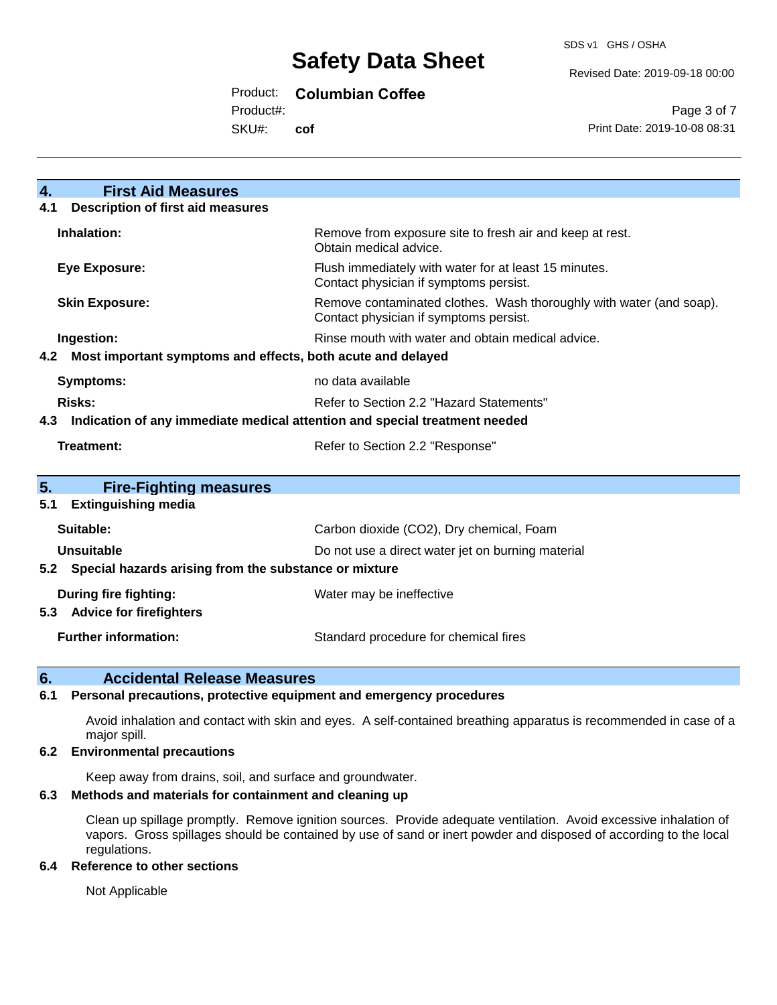#### Revised Date: 2019-09-18 00:00

Product: **Columbian Coffee**

Product#:

SKU#: **cof**

Page 3 of 7 Print Date: 2019-10-08 08:31

| 4.<br><b>First Aid Measures</b>                                                   |                                                                                                               |  |  |  |
|-----------------------------------------------------------------------------------|---------------------------------------------------------------------------------------------------------------|--|--|--|
| <b>Description of first aid measures</b><br>4.1                                   |                                                                                                               |  |  |  |
| Inhalation:                                                                       | Remove from exposure site to fresh air and keep at rest.<br>Obtain medical advice.                            |  |  |  |
| <b>Eye Exposure:</b>                                                              | Flush immediately with water for at least 15 minutes.<br>Contact physician if symptoms persist.               |  |  |  |
| <b>Skin Exposure:</b>                                                             | Remove contaminated clothes. Wash thoroughly with water (and soap).<br>Contact physician if symptoms persist. |  |  |  |
| Ingestion:                                                                        | Rinse mouth with water and obtain medical advice.                                                             |  |  |  |
| 4.2 Most important symptoms and effects, both acute and delayed                   |                                                                                                               |  |  |  |
| <b>Symptoms:</b>                                                                  | no data available                                                                                             |  |  |  |
| <b>Risks:</b>                                                                     | Refer to Section 2.2 "Hazard Statements"                                                                      |  |  |  |
| Indication of any immediate medical attention and special treatment needed<br>4.3 |                                                                                                               |  |  |  |
| <b>Treatment:</b><br>Refer to Section 2.2 "Response"                              |                                                                                                               |  |  |  |
|                                                                                   |                                                                                                               |  |  |  |
| 5 <sub>1</sub><br><b>Fire-Fighting measures</b>                                   |                                                                                                               |  |  |  |
| <b>Extinguishing media</b><br>5.1                                                 |                                                                                                               |  |  |  |
| Suitable:                                                                         | Carbon dioxide (CO2), Dry chemical, Foam                                                                      |  |  |  |
| Unsuitable                                                                        | Do not use a direct water jet on burning material                                                             |  |  |  |
| 5.2 Special hazards arising from the substance or mixture                         |                                                                                                               |  |  |  |
| During fire fighting:<br><b>Advice for firefighters</b><br>5.3                    | Water may be ineffective                                                                                      |  |  |  |
| <b>Further information:</b>                                                       | Standard procedure for chemical fires                                                                         |  |  |  |

#### **6. Accidental Release Measures**

#### **6.1 Personal precautions, protective equipment and emergency procedures**

Avoid inhalation and contact with skin and eyes. A self-contained breathing apparatus is recommended in case of a major spill.

#### **6.2 Environmental precautions**

Keep away from drains, soil, and surface and groundwater.

#### **6.3 Methods and materials for containment and cleaning up**

Clean up spillage promptly. Remove ignition sources. Provide adequate ventilation. Avoid excessive inhalation of vapors. Gross spillages should be contained by use of sand or inert powder and disposed of according to the local regulations.

#### **6.4 Reference to other sections**

Not Applicable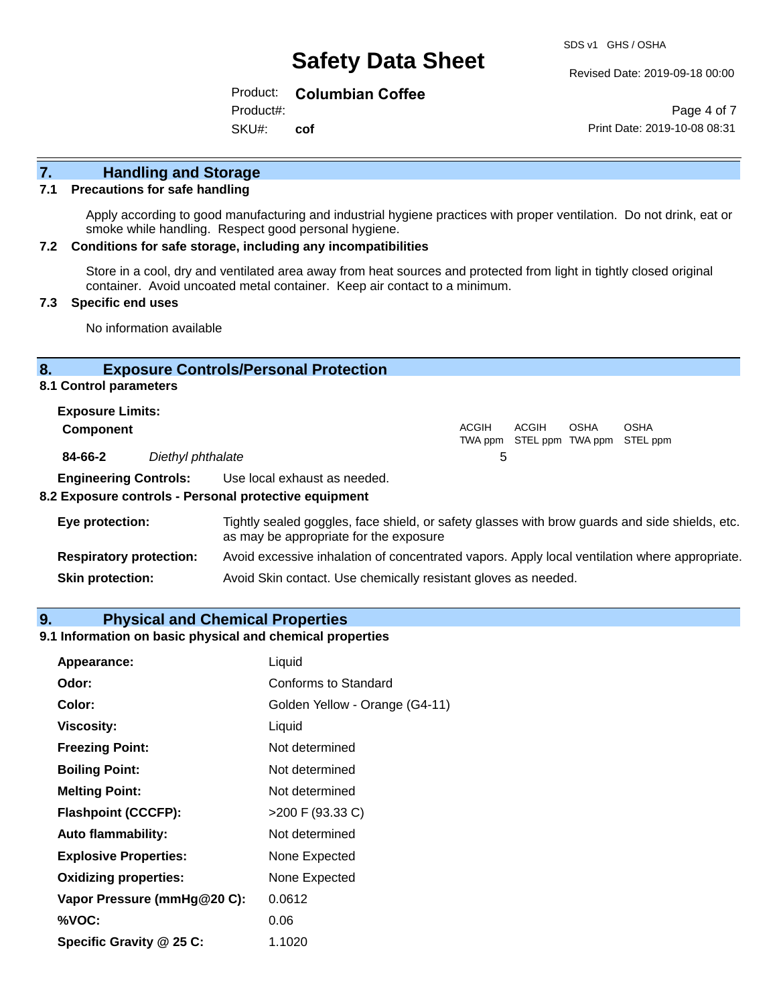Revised Date: 2019-09-18 00:00

Product: **Columbian Coffee**

SKU#: Product#: **cof**

Page 4 of 7 Print Date: 2019-10-08 08:31

## **7. Handling and Storage**

#### **7.1 Precautions for safe handling**

Apply according to good manufacturing and industrial hygiene practices with proper ventilation. Do not drink, eat or smoke while handling. Respect good personal hygiene.

#### **7.2 Conditions for safe storage, including any incompatibilities**

Store in a cool, dry and ventilated area away from heat sources and protected from light in tightly closed original container. Avoid uncoated metal container. Keep air contact to a minimum.

#### **7.3 Specific end uses**

No information available

#### **8. Exposure Controls/Personal Protection**

**8.1 Control parameters**

| <b>Exposure Limits:</b> |                                                                                                                                                                                                                                |       |       |             |                                                  |
|-------------------------|--------------------------------------------------------------------------------------------------------------------------------------------------------------------------------------------------------------------------------|-------|-------|-------------|--------------------------------------------------|
| <b>Component</b>        |                                                                                                                                                                                                                                | ACGIH | ACGIH | <b>OSHA</b> | <b>OSHA</b><br>TWA ppm STEL ppm TWA ppm STEL ppm |
| 84-66-2                 | Diethyl phthalate                                                                                                                                                                                                              | b     |       |             |                                                  |
|                         | in the contract of the company of the contract of the contract of the contract of the contract of the contract of the contract of the contract of the contract of the contract of the contract of the contract of the contract |       |       |             |                                                  |

**Engineering Controls:** Use local exhaust as needed.

#### **8.2 Exposure controls - Personal protective equipment**

| Eye protection:                | Tightly sealed goggles, face shield, or safety glasses with brow guards and side shields, etc.<br>as may be appropriate for the exposure |
|--------------------------------|------------------------------------------------------------------------------------------------------------------------------------------|
| <b>Respiratory protection:</b> | Avoid excessive inhalation of concentrated vapors. Apply local ventilation where appropriate.                                            |
| <b>Skin protection:</b>        | Avoid Skin contact. Use chemically resistant gloves as needed.                                                                           |

#### **9. Physical and Chemical Properties**

#### **9.1 Information on basic physical and chemical properties**

| Appearance:                  | Liquid                         |
|------------------------------|--------------------------------|
| Odor:                        | Conforms to Standard           |
| Color:                       | Golden Yellow - Orange (G4-11) |
| <b>Viscosity:</b>            | Liquid                         |
| <b>Freezing Point:</b>       | Not determined                 |
| <b>Boiling Point:</b>        | Not determined                 |
| <b>Melting Point:</b>        | Not determined                 |
| <b>Flashpoint (CCCFP):</b>   | $>200$ F (93.33 C)             |
| <b>Auto flammability:</b>    | Not determined                 |
| <b>Explosive Properties:</b> | None Expected                  |
| <b>Oxidizing properties:</b> | None Expected                  |
| Vapor Pressure (mmHg@20 C):  | 0.0612                         |
| %VOC:                        | 0.06                           |
| Specific Gravity @ 25 C:     | 1.1020                         |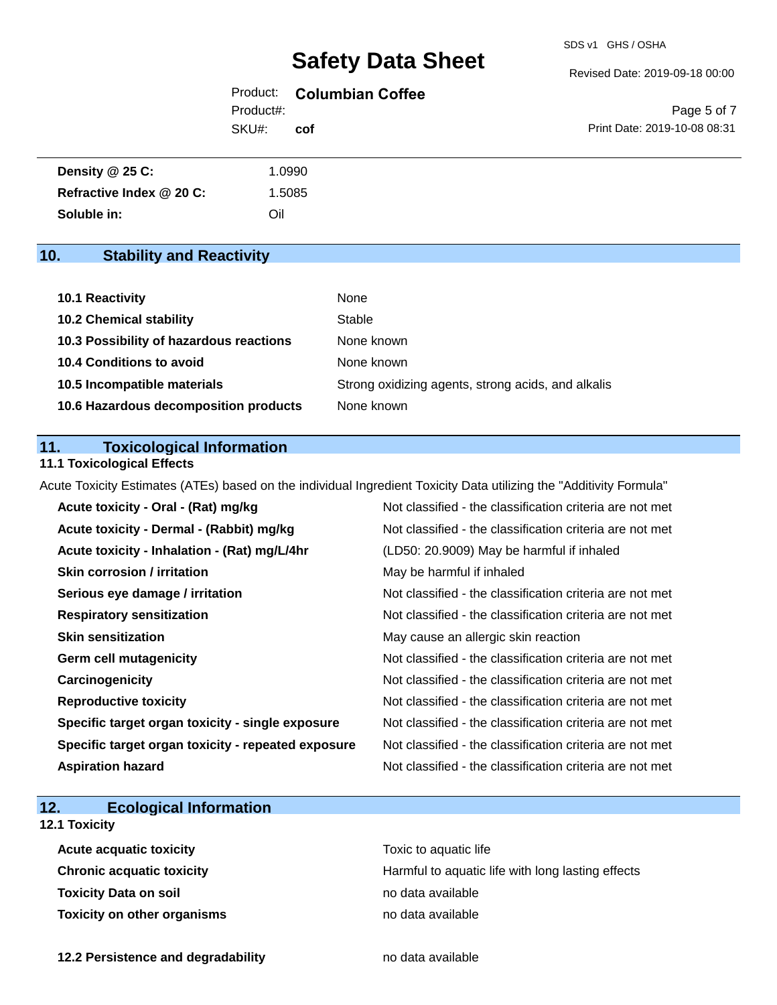#### Revised Date: 2019-09-18 00:00

#### Product: **Columbian Coffee** SKU#: Product#: **cof**

Page 5 of 7 Print Date: 2019-10-08 08:31

| Density @ 25 C:          | 1.0990 |  |
|--------------------------|--------|--|
| Refractive Index @ 20 C: | 1.5085 |  |
| Soluble in:              | Oil    |  |

### **10. Stability and Reactivity**

| 10.1 Reactivity                         | None                                               |
|-----------------------------------------|----------------------------------------------------|
| <b>10.2 Chemical stability</b>          | Stable                                             |
| 10.3 Possibility of hazardous reactions | None known                                         |
| <b>10.4 Conditions to avoid</b>         | None known                                         |
| 10.5 Incompatible materials             | Strong oxidizing agents, strong acids, and alkalis |
| 10.6 Hazardous decomposition products   | None known                                         |

#### **11. Toxicological Information**

#### **11.1 Toxicological Effects**

Acute Toxicity Estimates (ATEs) based on the individual Ingredient Toxicity Data utilizing the "Additivity Formula"

| Acute toxicity - Oral - (Rat) mg/kg                | Not classified - the classification criteria are not met |
|----------------------------------------------------|----------------------------------------------------------|
| Acute toxicity - Dermal - (Rabbit) mg/kg           | Not classified - the classification criteria are not met |
| Acute toxicity - Inhalation - (Rat) mg/L/4hr       | (LD50: 20.9009) May be harmful if inhaled                |
| <b>Skin corrosion / irritation</b>                 | May be harmful if inhaled                                |
| Serious eye damage / irritation                    | Not classified - the classification criteria are not met |
| <b>Respiratory sensitization</b>                   | Not classified - the classification criteria are not met |
| <b>Skin sensitization</b>                          | May cause an allergic skin reaction                      |
| <b>Germ cell mutagenicity</b>                      | Not classified - the classification criteria are not met |
| Carcinogenicity                                    | Not classified - the classification criteria are not met |
| <b>Reproductive toxicity</b>                       | Not classified - the classification criteria are not met |
| Specific target organ toxicity - single exposure   | Not classified - the classification criteria are not met |
| Specific target organ toxicity - repeated exposure | Not classified - the classification criteria are not met |
| <b>Aspiration hazard</b>                           | Not classified - the classification criteria are not met |

### **12. Ecological Information**

### **12.1 Toxicity**

| <b>Acute acquatic toxicity</b> | Toxic to aquatic life                             |
|--------------------------------|---------------------------------------------------|
| Chronic acquatic toxicity      | Harmful to aquatic life with long lasting effects |
| Toxicity Data on soil          | no data available                                 |
| Toxicity on other organisms    | no data available                                 |

**12.2 Persistence and degradability no data available**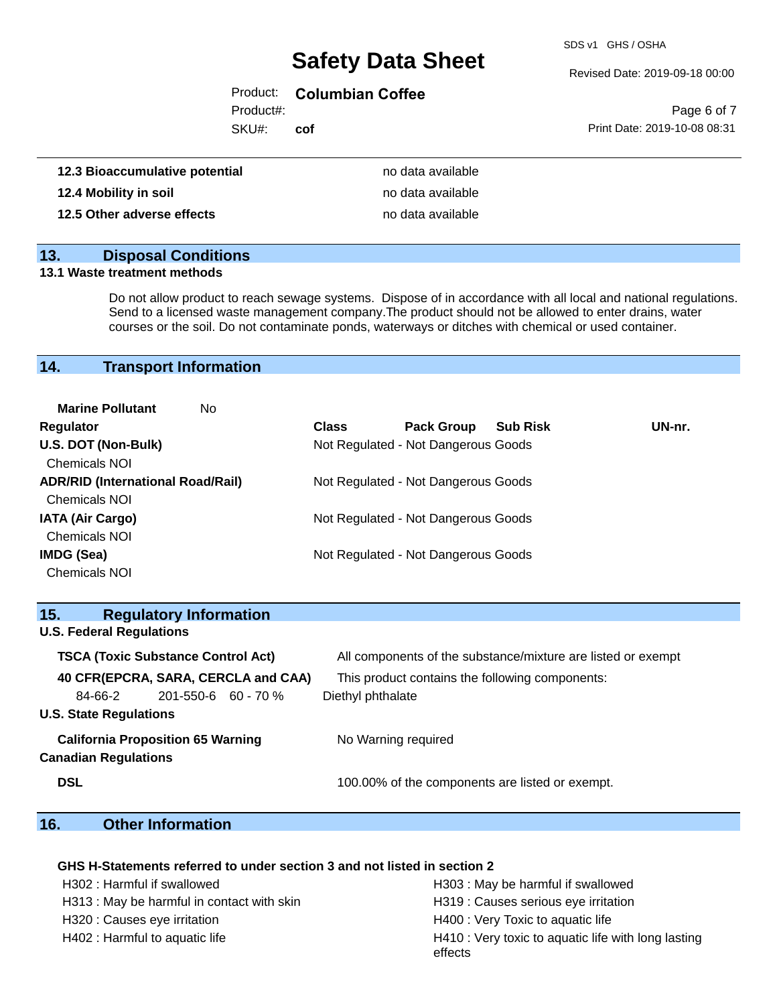SDS v1 GHS / OSHA

#### Revised Date: 2019-09-18 00:00

#### Product: **Columbian Coffee**

Product#:

SKU#: **cof**

|                              | Page 6 of 7 |  |
|------------------------------|-------------|--|
| Print Date: 2019-10-08 08:31 |             |  |

| 12.3 Bioaccumulative potential | no data available |
|--------------------------------|-------------------|
| 12.4 Mobility in soil          | no data available |
| 12.5 Other adverse effects     | no data available |

#### **13. Disposal Conditions**

#### **13.1 Waste treatment methods**

Do not allow product to reach sewage systems. Dispose of in accordance with all local and national regulations. Send to a licensed waste management company.The product should not be allowed to enter drains, water courses or the soil. Do not contaminate ponds, waterways or ditches with chemical or used container.

#### **14. Transport Information**

| <b>Marine Pollutant</b><br>No            |              |                                     |                 |        |
|------------------------------------------|--------------|-------------------------------------|-----------------|--------|
| <b>Regulator</b>                         | <b>Class</b> | <b>Pack Group</b>                   | <b>Sub Risk</b> | UN-nr. |
| U.S. DOT (Non-Bulk)                      |              | Not Regulated - Not Dangerous Goods |                 |        |
| <b>Chemicals NOI</b>                     |              |                                     |                 |        |
| <b>ADR/RID (International Road/Rail)</b> |              | Not Regulated - Not Dangerous Goods |                 |        |
| <b>Chemicals NOI</b>                     |              |                                     |                 |        |
| <b>IATA (Air Cargo)</b>                  |              | Not Regulated - Not Dangerous Goods |                 |        |
| <b>Chemicals NOI</b>                     |              |                                     |                 |        |
| IMDG (Sea)                               |              | Not Regulated - Not Dangerous Goods |                 |        |
| <b>Chemicals NOI</b>                     |              |                                     |                 |        |

| 15.                                       |                                 | <b>Regulatory Information</b>            |                                                              |                                                 |
|-------------------------------------------|---------------------------------|------------------------------------------|--------------------------------------------------------------|-------------------------------------------------|
|                                           | <b>U.S. Federal Regulations</b> |                                          |                                                              |                                                 |
| <b>TSCA (Toxic Substance Control Act)</b> |                                 |                                          | All components of the substance/mixture are listed or exempt |                                                 |
|                                           |                                 |                                          | 40 CFR(EPCRA, SARA, CERCLA and CAA)                          | This product contains the following components: |
|                                           | 84-66-2                         | $201 - 550 - 6$ 60 - 70 %                |                                                              | Diethyl phthalate                               |
|                                           | <b>U.S. State Regulations</b>   |                                          |                                                              |                                                 |
|                                           | <b>Canadian Regulations</b>     | <b>California Proposition 65 Warning</b> |                                                              | No Warning required                             |
| <b>DSL</b>                                |                                 |                                          |                                                              | 100.00% of the components are listed or exempt. |

### **16. Other Information**

#### **GHS H-Statements referred to under section 3 and not listed in section 2**

| H302 : Harmful if swallowed                | H303 : May be harmful if swallowed                             |
|--------------------------------------------|----------------------------------------------------------------|
| H313 : May be harmful in contact with skin | H319 : Causes serious eye irritation                           |
| H320 : Causes eye irritation               | H400 : Very Toxic to aquatic life                              |
| H402 : Harmful to aquatic life             | H410 : Very toxic to aquatic life with long lasting<br>effects |